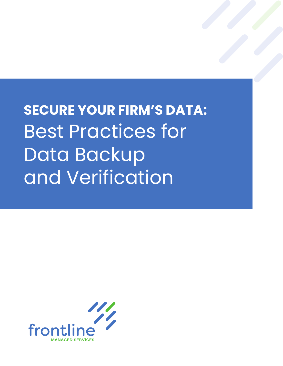**SECURE YOUR FIRM'S DATA:**  Best Practices for Data Backup and Verification